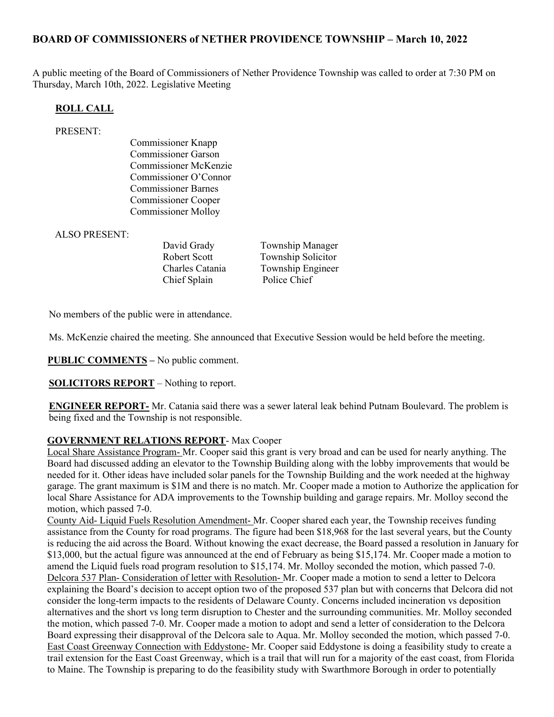### BOARD OF COMMISSIONERS of NETHER PROVIDENCE TOWNSHIP – March 10, 2022

A public meeting of the Board of Commissioners of Nether Providence Township was called to order at 7:30 PM on Thursday, March 10th, 2022. Legislative Meeting

#### ROLL CALL

#### PRESENT:

Commissioner Knapp Commissioner Garson Commissioner McKenzie Commissioner O'Connor Commissioner Barnes Commissioner Cooper Commissioner Molloy

ALSO PRESENT:

Chief Splain Police Chief

David Grady Township Manager Robert Scott Township Solicitor Charles Catania Township Engineer

No members of the public were in attendance.

Ms. McKenzie chaired the meeting. She announced that Executive Session would be held before the meeting.

PUBLIC COMMENTS – No public comment.

SOLICITORS REPORT – Nothing to report.

ENGINEER REPORT- Mr. Catania said there was a sewer lateral leak behind Putnam Boulevard. The problem is being fixed and the Township is not responsible.

#### GOVERNMENT RELATIONS REPORT- Max Cooper

Local Share Assistance Program- Mr. Cooper said this grant is very broad and can be used for nearly anything. The Board had discussed adding an elevator to the Township Building along with the lobby improvements that would be needed for it. Other ideas have included solar panels for the Township Building and the work needed at the highway garage. The grant maximum is \$1M and there is no match. Mr. Cooper made a motion to Authorize the application for local Share Assistance for ADA improvements to the Township building and garage repairs. Mr. Molloy second the motion, which passed 7-0.

County Aid- Liquid Fuels Resolution Amendment- Mr. Cooper shared each year, the Township receives funding assistance from the County for road programs. The figure had been \$18,968 for the last several years, but the County is reducing the aid across the Board. Without knowing the exact decrease, the Board passed a resolution in January for \$13,000, but the actual figure was announced at the end of February as being \$15,174. Mr. Cooper made a motion to amend the Liquid fuels road program resolution to \$15,174. Mr. Molloy seconded the motion, which passed 7-0. Delcora 537 Plan- Consideration of letter with Resolution- Mr. Cooper made a motion to send a letter to Delcora explaining the Board's decision to accept option two of the proposed 537 plan but with concerns that Delcora did not consider the long-term impacts to the residents of Delaware County. Concerns included incineration vs deposition alternatives and the short vs long term disruption to Chester and the surrounding communities. Mr. Molloy seconded the motion, which passed 7-0. Mr. Cooper made a motion to adopt and send a letter of consideration to the Delcora Board expressing their disapproval of the Delcora sale to Aqua. Mr. Molloy seconded the motion, which passed 7-0. East Coast Greenway Connection with Eddystone- Mr. Cooper said Eddystone is doing a feasibility study to create a trail extension for the East Coast Greenway, which is a trail that will run for a majority of the east coast, from Florida to Maine. The Township is preparing to do the feasibility study with Swarthmore Borough in order to potentially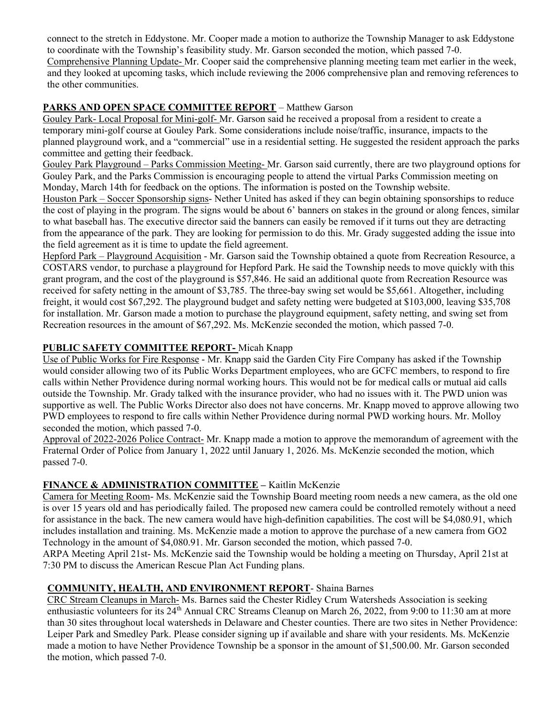connect to the stretch in Eddystone. Mr. Cooper made a motion to authorize the Township Manager to ask Eddystone to coordinate with the Township's feasibility study. Mr. Garson seconded the motion, which passed 7-0. Comprehensive Planning Update- Mr. Cooper said the comprehensive planning meeting team met earlier in the week, and they looked at upcoming tasks, which include reviewing the 2006 comprehensive plan and removing references to the other communities.

# PARKS AND OPEN SPACE COMMITTEE REPORT – Matthew Garson

Gouley Park- Local Proposal for Mini-golf- Mr. Garson said he received a proposal from a resident to create a temporary mini-golf course at Gouley Park. Some considerations include noise/traffic, insurance, impacts to the planned playground work, and a "commercial" use in a residential setting. He suggested the resident approach the parks committee and getting their feedback.

Gouley Park Playground – Parks Commission Meeting- Mr. Garson said currently, there are two playground options for Gouley Park, and the Parks Commission is encouraging people to attend the virtual Parks Commission meeting on Monday, March 14th for feedback on the options. The information is posted on the Township website.

Houston Park – Soccer Sponsorship signs- Nether United has asked if they can begin obtaining sponsorships to reduce the cost of playing in the program. The signs would be about 6' banners on stakes in the ground or along fences, similar to what baseball has. The executive director said the banners can easily be removed if it turns out they are detracting from the appearance of the park. They are looking for permission to do this. Mr. Grady suggested adding the issue into the field agreement as it is time to update the field agreement.

Hepford Park – Playground Acquisition - Mr. Garson said the Township obtained a quote from Recreation Resource, a COSTARS vendor, to purchase a playground for Hepford Park. He said the Township needs to move quickly with this grant program, and the cost of the playground is \$57,846. He said an additional quote from Recreation Resource was received for safety netting in the amount of \$3,785. The three-bay swing set would be \$5,661. Altogether, including freight, it would cost \$67,292. The playground budget and safety netting were budgeted at \$103,000, leaving \$35,708 for installation. Mr. Garson made a motion to purchase the playground equipment, safety netting, and swing set from Recreation resources in the amount of \$67,292. Ms. McKenzie seconded the motion, which passed 7-0.

# PUBLIC SAFETY COMMITTEE REPORT-Micah Knapp

Use of Public Works for Fire Response - Mr. Knapp said the Garden City Fire Company has asked if the Township would consider allowing two of its Public Works Department employees, who are GCFC members, to respond to fire calls within Nether Providence during normal working hours. This would not be for medical calls or mutual aid calls outside the Township. Mr. Grady talked with the insurance provider, who had no issues with it. The PWD union was supportive as well. The Public Works Director also does not have concerns. Mr. Knapp moved to approve allowing two PWD employees to respond to fire calls within Nether Providence during normal PWD working hours. Mr. Molloy seconded the motion, which passed 7-0.

Approval of 2022-2026 Police Contract- Mr. Knapp made a motion to approve the memorandum of agreement with the Fraternal Order of Police from January 1, 2022 until January 1, 2026. Ms. McKenzie seconded the motion, which passed 7-0.

# FINANCE & ADMINISTRATION COMMITTEE – Kaitlin McKenzie

Camera for Meeting Room- Ms. McKenzie said the Township Board meeting room needs a new camera, as the old one is over 15 years old and has periodically failed. The proposed new camera could be controlled remotely without a need for assistance in the back. The new camera would have high-definition capabilities. The cost will be \$4,080.91, which includes installation and training. Ms. McKenzie made a motion to approve the purchase of a new camera from GO2 Technology in the amount of \$4,080.91. Mr. Garson seconded the motion, which passed 7-0.

ARPA Meeting April 21st- Ms. McKenzie said the Township would be holding a meeting on Thursday, April 21st at 7:30 PM to discuss the American Rescue Plan Act Funding plans.

# COMMUNITY, HEALTH, AND ENVIRONMENT REPORT- Shaina Barnes

CRC Stream Cleanups in March- Ms. Barnes said the Chester Ridley Crum Watersheds Association is seeking enthusiastic volunteers for its 24<sup>th</sup> Annual CRC Streams Cleanup on March 26, 2022, from 9:00 to 11:30 am at more than 30 sites throughout local watersheds in Delaware and Chester counties. There are two sites in Nether Providence: Leiper Park and Smedley Park. Please consider signing up if available and share with your residents. Ms. McKenzie made a motion to have Nether Providence Township be a sponsor in the amount of \$1,500.00. Mr. Garson seconded the motion, which passed 7-0.